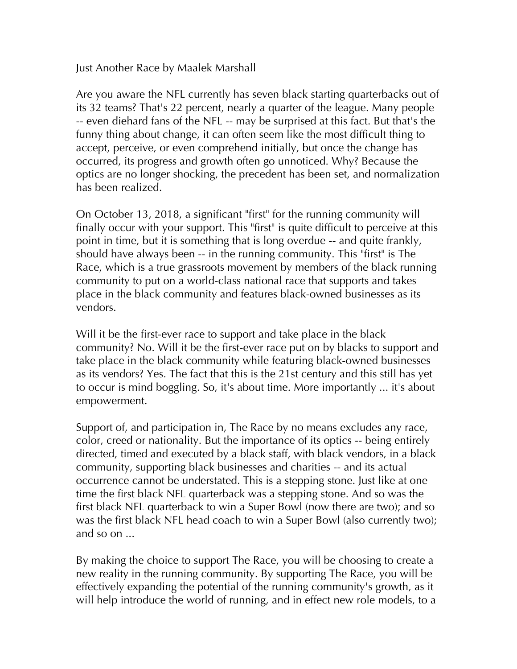Just Another Race by Maalek Marshall

Are you aware the NFL currently has seven black starting quarterbacks out of its 32 teams? That's 22 percent, nearly a quarter of the league. Many people -- even diehard fans of the NFL -- may be surprised at this fact. But that's the funny thing about change, it can often seem like the most difficult thing to accept, perceive, or even comprehend initially, but once the change has occurred, its progress and growth often go unnoticed. Why? Because the optics are no longer shocking, the precedent has been set, and normalization has been realized.

On October 13, 2018, a significant "first" for the running community will finally occur with your support. This "first" is quite difficult to perceive at this point in time, but it is something that is long overdue -- and quite frankly, should have always been -- in the running community. This "first" is The Race, which is a true grassroots movement by members of the black running community to put on a world-class national race that supports and takes place in the black community and features black-owned businesses as its vendors.

Will it be the first-ever race to support and take place in the black community? No. Will it be the first-ever race put on by blacks to support and take place in the black community while featuring black-owned businesses as its vendors? Yes. The fact that this is the 21st century and this still has yet to occur is mind boggling. So, it's about time. More importantly ... it's about empowerment.

Support of, and participation in, The Race by no means excludes any race, color, creed or nationality. But the importance of its optics -- being entirely directed, timed and executed by a black staff, with black vendors, in a black community, supporting black businesses and charities -- and its actual occurrence cannot be understated. This is a stepping stone. Just like at one time the first black NFL quarterback was a stepping stone. And so was the first black NFL quarterback to win a Super Bowl (now there are two); and so was the first black NFL head coach to win a Super Bowl (also currently two); and so on ...

By making the choice to support The Race, you will be choosing to create a new reality in the running community. By supporting The Race, you will be effectively expanding the potential of the running community's growth, as it will help introduce the world of running, and in effect new role models, to a